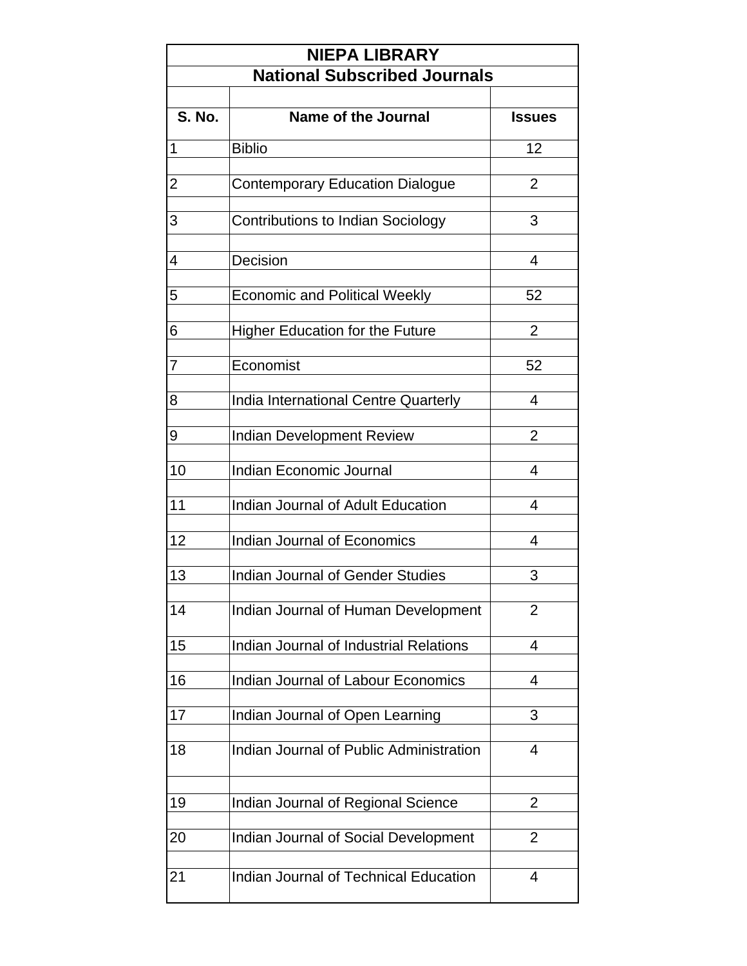| <b>NIEPA LIBRARY</b><br><b>National Subscribed Journals</b> |                                          |                |  |
|-------------------------------------------------------------|------------------------------------------|----------------|--|
|                                                             |                                          |                |  |
| <b>S. No.</b>                                               | Name of the Journal                      | <b>Issues</b>  |  |
| 1                                                           | <b>Biblio</b>                            | 12             |  |
|                                                             |                                          | $\overline{2}$ |  |
| 2                                                           | <b>Contemporary Education Dialogue</b>   |                |  |
| 3                                                           | <b>Contributions to Indian Sociology</b> | 3              |  |
| 4                                                           | Decision                                 | 4              |  |
| 5                                                           | <b>Economic and Political Weekly</b>     | 52             |  |
| 6                                                           | <b>Higher Education for the Future</b>   | $\overline{2}$ |  |
|                                                             |                                          |                |  |
| 7                                                           | Economist                                | 52             |  |
| 8                                                           | India International Centre Quarterly     | 4              |  |
| 9                                                           | <b>Indian Development Review</b>         | $\overline{2}$ |  |
| 10                                                          | <b>Indian Economic Journal</b>           | 4              |  |
|                                                             |                                          |                |  |
| 11                                                          | Indian Journal of Adult Education        | 4              |  |
| 12                                                          | Indian Journal of Economics              | 4              |  |
| 13                                                          | <b>Indian Journal of Gender Studies</b>  | 3              |  |
| 14                                                          | Indian Journal of Human Development      | $\overline{2}$ |  |
| 15                                                          | Indian Journal of Industrial Relations   | 4              |  |
| 16                                                          | Indian Journal of Labour Economics       | 4              |  |
| 17                                                          | Indian Journal of Open Learning          | 3              |  |
| 18                                                          | Indian Journal of Public Administration  | 4              |  |
| 19                                                          | Indian Journal of Regional Science       | 2              |  |
|                                                             |                                          |                |  |
| 20                                                          | Indian Journal of Social Development     | $\overline{2}$ |  |
| 21                                                          | Indian Journal of Technical Education    | $\overline{4}$ |  |
|                                                             |                                          |                |  |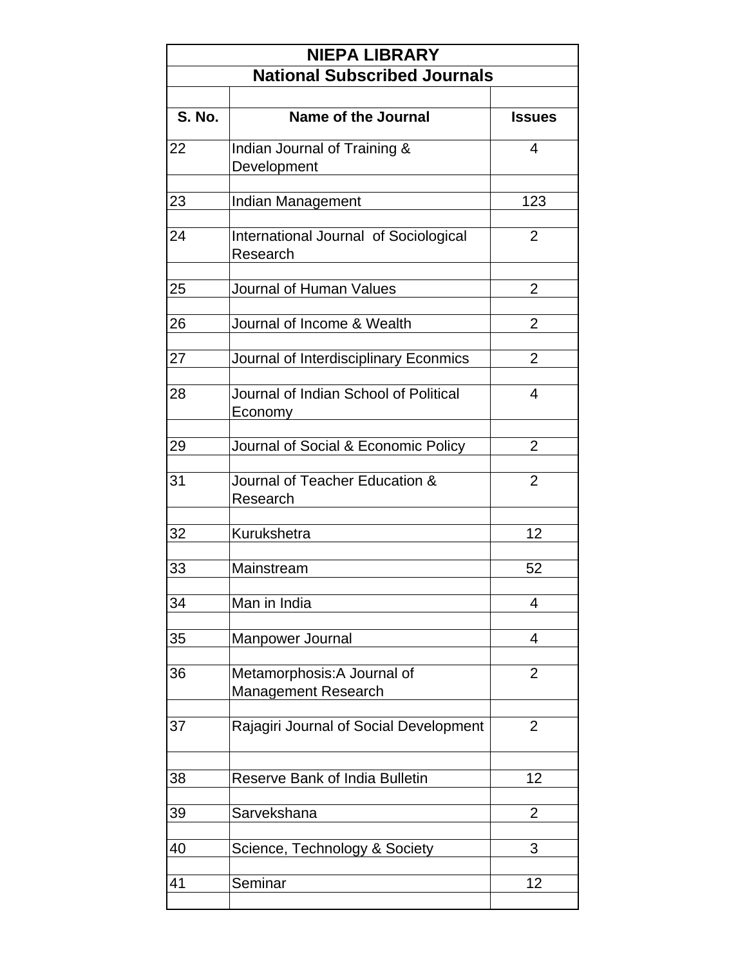| <b>NIEPA LIBRARY</b><br><b>National Subscribed Journals</b> |                                                           |                |  |  |
|-------------------------------------------------------------|-----------------------------------------------------------|----------------|--|--|
|                                                             |                                                           |                |  |  |
| <b>S. No.</b>                                               | Name of the Journal                                       | <b>Issues</b>  |  |  |
| 22                                                          | Indian Journal of Training &<br>Development               | 4              |  |  |
| 23                                                          | Indian Management                                         | 123            |  |  |
| 24                                                          | International Journal of Sociological<br>Research         | $\overline{2}$ |  |  |
| 25                                                          | <b>Journal of Human Values</b>                            | $\overline{2}$ |  |  |
| 26                                                          | Journal of Income & Wealth                                | $\overline{2}$ |  |  |
| 27                                                          | Journal of Interdisciplinary Econmics                     | 2              |  |  |
| 28                                                          | Journal of Indian School of Political<br>Economy          | $\overline{4}$ |  |  |
| 29                                                          | Journal of Social & Economic Policy                       | $\overline{2}$ |  |  |
| 31                                                          | Journal of Teacher Education &<br>Research                | $\overline{2}$ |  |  |
| 32                                                          | Kurukshetra                                               | 12             |  |  |
| 33                                                          | Mainstream                                                | 52             |  |  |
| 34                                                          | Man in India                                              | 4              |  |  |
| 35                                                          | Manpower Journal                                          | 4              |  |  |
| 36                                                          | Metamorphosis: A Journal of<br><b>Management Research</b> | $\overline{2}$ |  |  |
| 37                                                          | Rajagiri Journal of Social Development                    | $\overline{2}$ |  |  |
| 38                                                          | <b>Reserve Bank of India Bulletin</b>                     | 12             |  |  |
| 39                                                          | Sarvekshana                                               | $\overline{2}$ |  |  |
| 40                                                          | Science, Technology & Society                             | 3              |  |  |
| 41                                                          | Seminar                                                   | 12             |  |  |